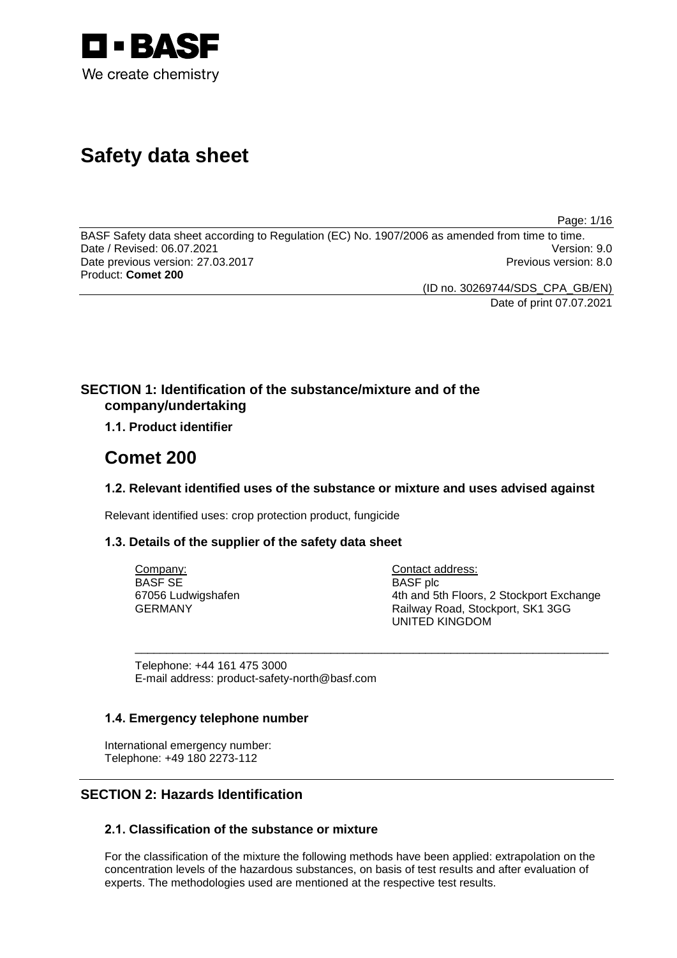

# **Safety data sheet**

Page: 1/16

BASF Safety data sheet according to Regulation (EC) No. 1907/2006 as amended from time to time.<br>Date / Revised: 06.07.2021 Date / Revised: 06.07.2021 Date previous version: 27.03.2017 **Previous version: 8.0** Previous version: 8.0 Product: **Comet 200**

(ID no. 30269744/SDS\_CPA\_GB/EN)

Date of print 07.07.2021

# **SECTION 1: Identification of the substance/mixture and of the company/undertaking**

# **1.1. Product identifier**

# **Comet 200**

# **1.2. Relevant identified uses of the substance or mixture and uses advised against**

\_\_\_\_\_\_\_\_\_\_\_\_\_\_\_\_\_\_\_\_\_\_\_\_\_\_\_\_\_\_\_\_\_\_\_\_\_\_\_\_\_\_\_\_\_\_\_\_\_\_\_\_\_\_\_\_\_\_\_\_\_\_\_\_\_\_\_\_\_\_\_\_\_\_\_

Relevant identified uses: crop protection product, fungicide

# **1.3. Details of the supplier of the safety data sheet**

Company: BASF SE 67056 Ludwigshafen GERMANY

Contact address: BASF plc 4th and 5th Floors, 2 Stockport Exchange Railway Road, Stockport, SK1 3GG UNITED KINGDOM

Telephone: +44 161 475 3000 E-mail address: product-safety-north@basf.com

# **1.4. Emergency telephone number**

International emergency number: Telephone: +49 180 2273-112

# **SECTION 2: Hazards Identification**

# **2.1. Classification of the substance or mixture**

For the classification of the mixture the following methods have been applied: extrapolation on the concentration levels of the hazardous substances, on basis of test results and after evaluation of experts. The methodologies used are mentioned at the respective test results.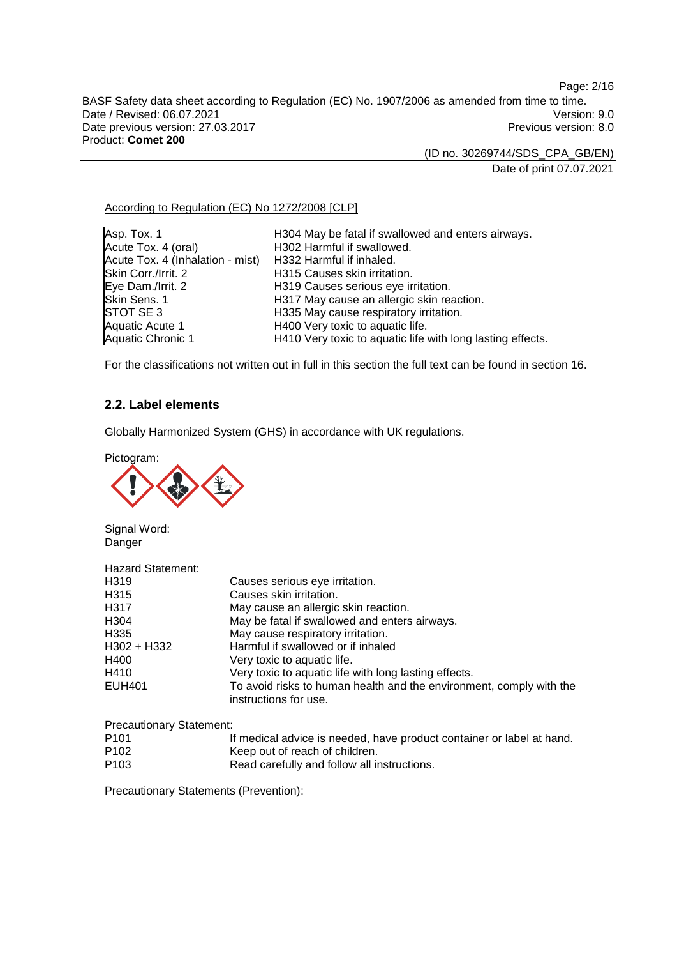Page: 2/16

BASF Safety data sheet according to Regulation (EC) No. 1907/2006 as amended from time to time. Date / Revised: 06.07.2021 Version: 9.0<br>Date previous version: 27.03.2017 Version: 9.0 Date previous version: 27.03.2017 Product: **Comet 200**

(ID no. 30269744/SDS\_CPA\_GB/EN)

Date of print 07.07.2021

# According to Regulation (EC) No 1272/2008 [CLP]

| Asp. Tox. 1                      | H304 May be fatal if swallowed and enters airways.         |
|----------------------------------|------------------------------------------------------------|
| Acute Tox. 4 (oral)              | H302 Harmful if swallowed.                                 |
| Acute Tox. 4 (Inhalation - mist) | H332 Harmful if inhaled.                                   |
| Skin Corr./Irrit. 2              | H315 Causes skin irritation.                               |
| Eye Dam./Irrit. 2                | H319 Causes serious eye irritation.                        |
| Skin Sens. 1                     | H317 May cause an allergic skin reaction.                  |
| STOT SE 3                        | H335 May cause respiratory irritation.                     |
| Aquatic Acute 1                  | H400 Very toxic to aquatic life.                           |
| <b>Aquatic Chronic 1</b>         | H410 Very toxic to aquatic life with long lasting effects. |

For the classifications not written out in full in this section the full text can be found in section 16.

# **2.2. Label elements**

Globally Harmonized System (GHS) in accordance with UK regulations.

Pictogram:

 $\mathbf{r}$ 



Signal Word: **Danger** 

| <b>Hazard Statement:</b> |                                                                                              |
|--------------------------|----------------------------------------------------------------------------------------------|
| H319                     | Causes serious eye irritation.                                                               |
| H <sub>315</sub>         | Causes skin irritation.                                                                      |
| H317                     | May cause an allergic skin reaction.                                                         |
| H <sub>304</sub>         | May be fatal if swallowed and enters airways.                                                |
| H <sub>335</sub>         | May cause respiratory irritation.                                                            |
| H302 + H332              | Harmful if swallowed or if inhaled                                                           |
| H400                     | Very toxic to aquatic life.                                                                  |
| H410                     | Very toxic to aquatic life with long lasting effects.                                        |
| <b>EUH401</b>            | To avoid risks to human health and the environment, comply with the<br>instructions for use. |

Precautionary Statement:

| P <sub>101</sub> | If medical advice is needed, have product container or label at hand. |
|------------------|-----------------------------------------------------------------------|
| P <sub>102</sub> | Keep out of reach of children.                                        |
| P <sub>103</sub> | Read carefully and follow all instructions.                           |

Precautionary Statements (Prevention):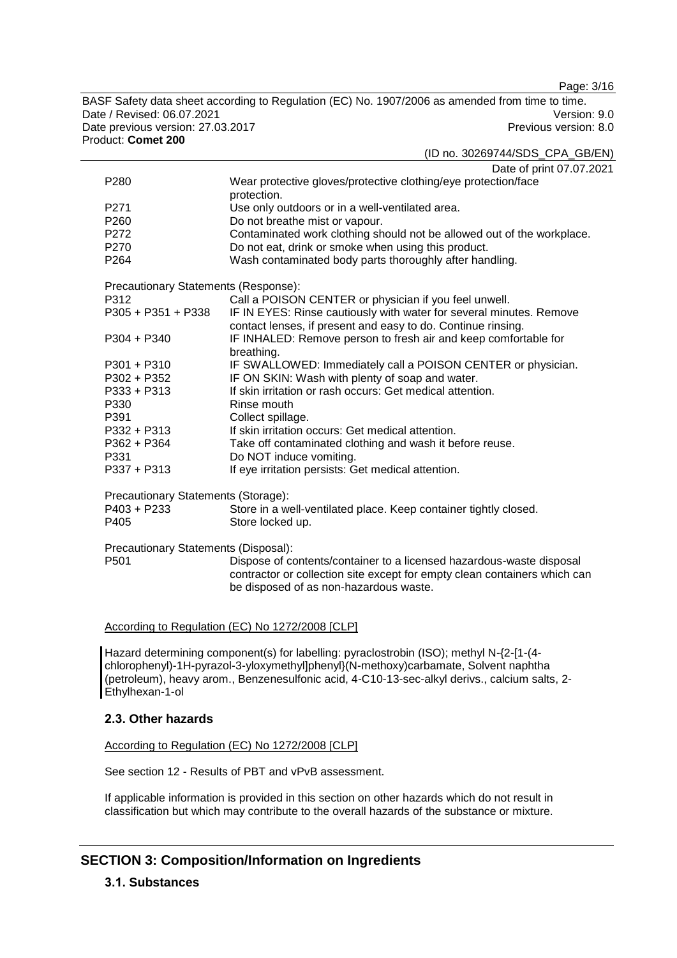Page: 3/16

BASF Safety data sheet according to Regulation (EC) No. 1907/2006 as amended from time to time. Date / Revised: 06.07.2021 Version: 9.0<br>Date previous version: 27.03.2017 Version: 9.0 Date previous version: 27.03.2017 Product: **Comet 200**

(ID no. 30269744/SDS\_CPA\_GB/EN)

|                  | Date of print 07.07.2021                                               |
|------------------|------------------------------------------------------------------------|
| P <sub>280</sub> | Wear protective gloves/protective clothing/eye protection/face         |
|                  | protection.                                                            |
| P <sub>271</sub> | Use only outdoors or in a well-ventilated area.                        |
| P <sub>260</sub> | Do not breathe mist or vapour.                                         |
| P <sub>272</sub> | Contaminated work clothing should not be allowed out of the workplace. |
| P <sub>270</sub> | Do not eat, drink or smoke when using this product.                    |
| P <sub>264</sub> | Wash contaminated body parts thoroughly after handling.                |

Precautionary Statements (Response):

| <i>i</i> receduollary etatemente (receptitoc). |                                                                                                                                     |
|------------------------------------------------|-------------------------------------------------------------------------------------------------------------------------------------|
| P312                                           | Call a POISON CENTER or physician if you feel unwell.                                                                               |
| $P305 + P351 + P338$                           | IF IN EYES: Rinse cautiously with water for several minutes. Remove<br>contact lenses, if present and easy to do. Continue rinsing. |
| $P304 + P340$                                  | IF INHALED: Remove person to fresh air and keep comfortable for<br>breathing.                                                       |
| $P301 + P310$                                  | IF SWALLOWED: Immediately call a POISON CENTER or physician.                                                                        |
| P302 + P352                                    | IF ON SKIN: Wash with plenty of soap and water.                                                                                     |
| $P333 + P313$                                  | If skin irritation or rash occurs: Get medical attention.                                                                           |
| P330                                           | Rinse mouth                                                                                                                         |
| P391                                           | Collect spillage.                                                                                                                   |
| $P332 + P313$                                  | If skin irritation occurs: Get medical attention.                                                                                   |
| P362 + P364                                    | Take off contaminated clothing and wash it before reuse.                                                                            |
| P331                                           | Do NOT induce vomiting.                                                                                                             |
| $P337 + P313$                                  | If eye irritation persists: Get medical attention.                                                                                  |
| Precautionary Statements (Storage):            |                                                                                                                                     |
| P403 + P233<br>P405                            | Store in a well-ventilated place. Keep container tightly closed.<br>Store locked up.                                                |
|                                                |                                                                                                                                     |

Precautionary Statements (Disposal):

Dispose of contents/container to a licensed hazardous-waste disposal contractor or collection site except for empty clean containers which can be disposed of as non-hazardous waste.

#### According to Regulation (EC) No 1272/2008 [CLP]

Hazard determining component(s) for labelling: pyraclostrobin (ISO); methyl N-{2-[1-(4 chlorophenyl)-1H-pyrazol-3-yloxymethyl]phenyl}(N-methoxy)carbamate, Solvent naphtha (petroleum), heavy arom., Benzenesulfonic acid, 4-C10-13-sec-alkyl derivs., calcium salts, 2- Ethylhexan-1-ol

# **2.3. Other hazards**

# According to Regulation (EC) No 1272/2008 [CLP]

See section 12 - Results of PBT and vPvB assessment.

If applicable information is provided in this section on other hazards which do not result in classification but which may contribute to the overall hazards of the substance or mixture.

# **SECTION 3: Composition/Information on Ingredients**

# **3.1. Substances**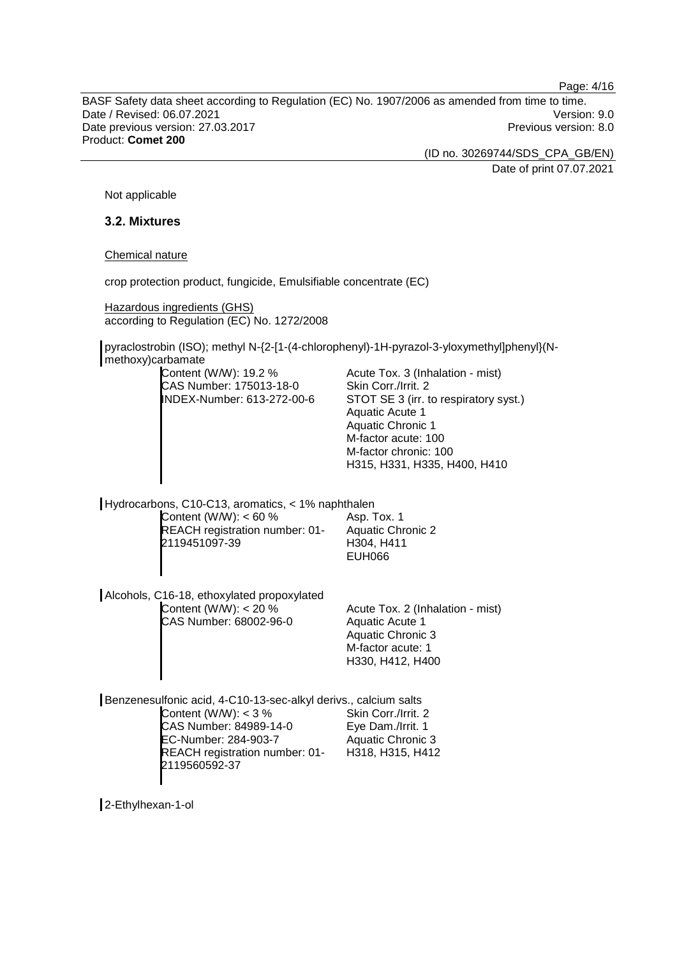Page: 4/16

BASF Safety data sheet according to Regulation (EC) No. 1907/2006 as amended from time to time. Date / Revised: 06.07.2021 Version: 9.0 Date previous version: 27.03.2017 **Previous version: 8.0** Previous version: 8.0 Product: **Comet 200**

(ID no. 30269744/SDS\_CPA\_GB/EN)

Date of print 07.07.2021

Not applicable

### **3.2. Mixtures**

Chemical nature

crop protection product, fungicide, Emulsifiable concentrate (EC)

Hazardous ingredients (GHS) according to Regulation (EC) No. 1272/2008

pyraclostrobin (ISO); methyl N-{2-[1-(4-chlorophenyl)-1H-pyrazol-3-yloxymethyl]phenyl}(Nmethoxy)carbamate

| Acute Tox. 3 (Inhalation - mist)      |
|---------------------------------------|
|                                       |
| STOT SE 3 (irr. to respiratory syst.) |
|                                       |
|                                       |
|                                       |
|                                       |
| H315, H331, H335, H400, H410          |
|                                       |

Hydrocarbons, C10-C13, aromatics, < 1% naphthalen Content (W/W): < 60 % REACH registration number: 01- 2119451097-39

Asp. Tox. 1 Aquatic Chronic 2 H304, H411 EUH066

Alcohols, C16-18, ethoxylated propoxylated Content (W/W): < 20 % CAS Number: 68002-96-0

Acute Tox. 2 (Inhalation - mist) Aquatic Acute 1 Aquatic Chronic 3 M-factor acute: 1 H330, H412, H400

Benzenesulfonic acid, 4-C10-13-sec-alkyl derivs., calcium salts Content  $(W/W)$ : < 3 % CAS Number: 84989-14-0 EC-Number: 284-903-7 REACH registration number: 01- 2119560592-37 Skin Corr./Irrit. 2 Eye Dam./Irrit. 1 Aquatic Chronic 3 H318, H315, H412

2-Ethylhexan-1-ol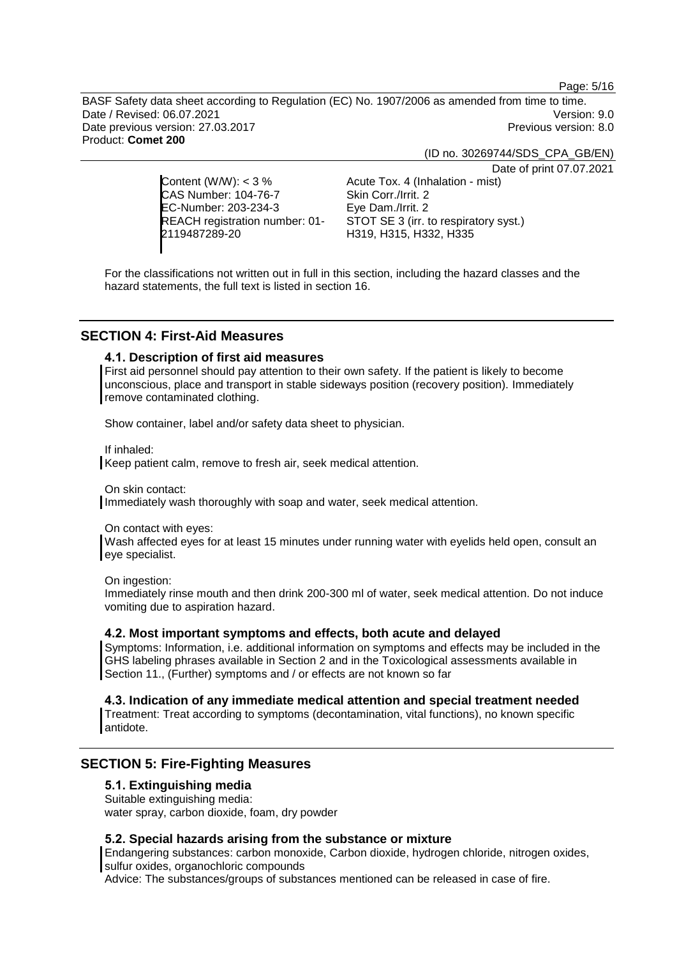Page: 5/16

BASF Safety data sheet according to Regulation (EC) No. 1907/2006 as amended from time to time. Date / Revised: 06.07.2021 Version: 9.0 Date previous version: 27.03.2017 **Previous version: 8.0** Previous version: 8.0 Product: **Comet 200**

(ID no. 30269744/SDS\_CPA\_GB/EN)

Date of print 07.07.2021

Content (W/W): < 3 % CAS Number: 104-76-7 EC-Number: 203-234-3 REACH registration number: 01- 2119487289-20

Acute Tox. 4 (Inhalation - mist) Skin Corr./Irrit. 2 Eye Dam./Irrit. 2 STOT SE 3 (irr. to respiratory syst.) H319, H315, H332, H335

For the classifications not written out in full in this section, including the hazard classes and the hazard statements, the full text is listed in section 16.

# **SECTION 4: First-Aid Measures**

#### **4.1. Description of first aid measures**

First aid personnel should pay attention to their own safety. If the patient is likely to become unconscious, place and transport in stable sideways position (recovery position). Immediately remove contaminated clothing.

Show container, label and/or safety data sheet to physician.

If inhaled:

Keep patient calm, remove to fresh air, seek medical attention.

On skin contact:

Immediately wash thoroughly with soap and water, seek medical attention.

On contact with eyes:

Wash affected eyes for at least 15 minutes under running water with eyelids held open, consult an eye specialist.

On ingestion:

Immediately rinse mouth and then drink 200-300 ml of water, seek medical attention. Do not induce vomiting due to aspiration hazard.

### **4.2. Most important symptoms and effects, both acute and delayed**

Symptoms: Information, i.e. additional information on symptoms and effects may be included in the GHS labeling phrases available in Section 2 and in the Toxicological assessments available in Section 11., (Further) symptoms and / or effects are not known so far

**4.3. Indication of any immediate medical attention and special treatment needed**

Treatment: Treat according to symptoms (decontamination, vital functions), no known specific antidote.

# **SECTION 5: Fire-Fighting Measures**

#### **5.1. Extinguishing media**

Suitable extinguishing media:

water spray, carbon dioxide, foam, dry powder

#### **5.2. Special hazards arising from the substance or mixture**

Endangering substances: carbon monoxide, Carbon dioxide, hydrogen chloride, nitrogen oxides, sulfur oxides, organochloric compounds

Advice: The substances/groups of substances mentioned can be released in case of fire.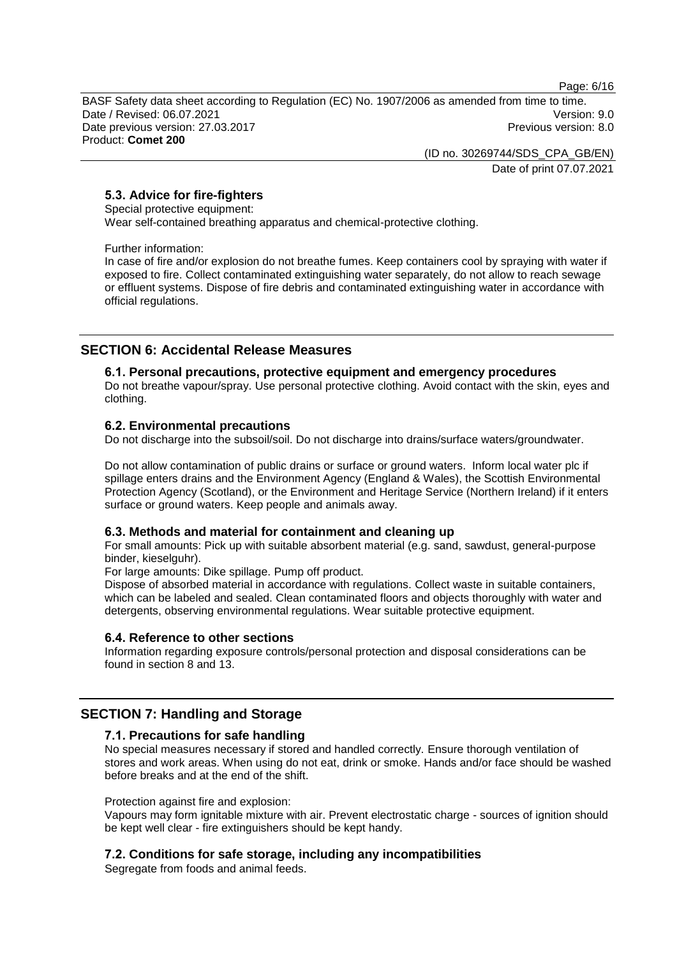Page: 6/16

BASF Safety data sheet according to Regulation (EC) No. 1907/2006 as amended from time to time. Date / Revised: 06.07.2021 Version: 9.0 Date previous version: 27.03.2017 **Previous version: 8.0** Previous version: 8.0 Product: **Comet 200**

> (ID no. 30269744/SDS\_CPA\_GB/EN) Date of print 07.07.2021

# **5.3. Advice for fire-fighters**

Special protective equipment:

Wear self-contained breathing apparatus and chemical-protective clothing.

Further information:

In case of fire and/or explosion do not breathe fumes. Keep containers cool by spraying with water if exposed to fire. Collect contaminated extinguishing water separately, do not allow to reach sewage or effluent systems. Dispose of fire debris and contaminated extinguishing water in accordance with official regulations.

# **SECTION 6: Accidental Release Measures**

# **6.1. Personal precautions, protective equipment and emergency procedures**

Do not breathe vapour/spray. Use personal protective clothing. Avoid contact with the skin, eyes and clothing.

# **6.2. Environmental precautions**

Do not discharge into the subsoil/soil. Do not discharge into drains/surface waters/groundwater.

Do not allow contamination of public drains or surface or ground waters. Inform local water plc if spillage enters drains and the Environment Agency (England & Wales), the Scottish Environmental Protection Agency (Scotland), or the Environment and Heritage Service (Northern Ireland) if it enters surface or ground waters. Keep people and animals away.

# **6.3. Methods and material for containment and cleaning up**

For small amounts: Pick up with suitable absorbent material (e.g. sand, sawdust, general-purpose binder, kieselguhr).

For large amounts: Dike spillage. Pump off product.

Dispose of absorbed material in accordance with regulations. Collect waste in suitable containers, which can be labeled and sealed. Clean contaminated floors and objects thoroughly with water and detergents, observing environmental regulations. Wear suitable protective equipment.

#### **6.4. Reference to other sections**

Information regarding exposure controls/personal protection and disposal considerations can be found in section 8 and 13.

# **SECTION 7: Handling and Storage**

# **7.1. Precautions for safe handling**

No special measures necessary if stored and handled correctly. Ensure thorough ventilation of stores and work areas. When using do not eat, drink or smoke. Hands and/or face should be washed before breaks and at the end of the shift.

#### Protection against fire and explosion:

Vapours may form ignitable mixture with air. Prevent electrostatic charge - sources of ignition should be kept well clear - fire extinguishers should be kept handy.

# **7.2. Conditions for safe storage, including any incompatibilities**

Segregate from foods and animal feeds.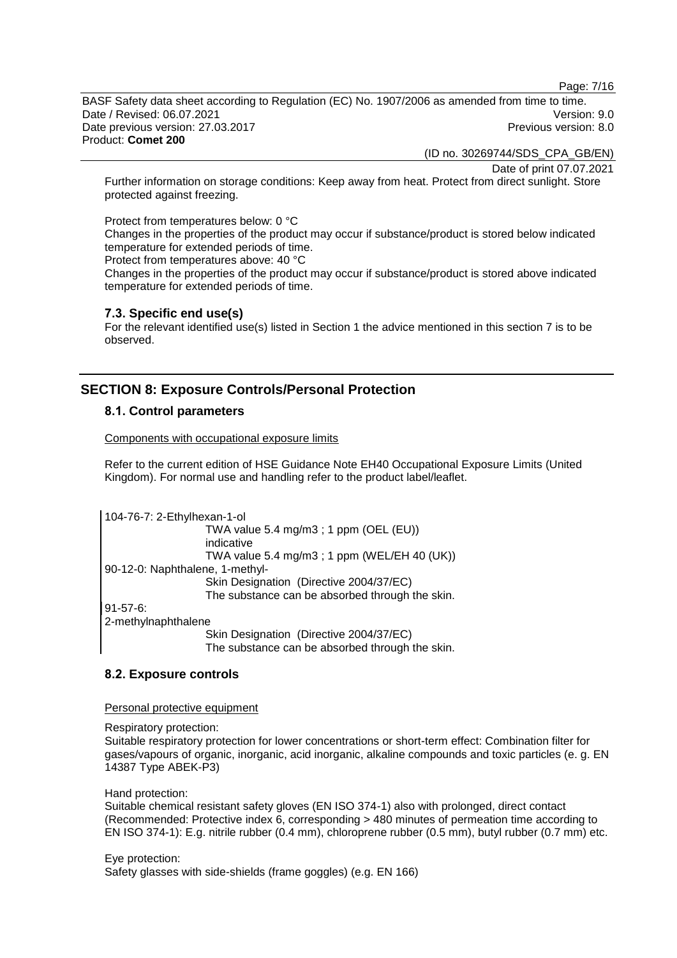Page: 7/16

BASF Safety data sheet according to Regulation (EC) No. 1907/2006 as amended from time to time. Date / Revised: 06.07.2021 Version: 9.0 Date previous version: 27.03.2017 **Previous version: 8.0** Previous version: 8.0 Product: **Comet 200**

(ID no. 30269744/SDS\_CPA\_GB/EN)

Date of print 07.07.2021

Further information on storage conditions: Keep away from heat. Protect from direct sunlight. Store protected against freezing.

Protect from temperatures below: 0 °C Changes in the properties of the product may occur if substance/product is stored below indicated temperature for extended periods of time.

Protect from temperatures above: 40 °C

Changes in the properties of the product may occur if substance/product is stored above indicated temperature for extended periods of time.

#### **7.3. Specific end use(s)**

For the relevant identified use(s) listed in Section 1 the advice mentioned in this section 7 is to be observed.

# **SECTION 8: Exposure Controls/Personal Protection**

# **8.1. Control parameters**

Components with occupational exposure limits

Refer to the current edition of HSE Guidance Note EH40 Occupational Exposure Limits (United Kingdom). For normal use and handling refer to the product label/leaflet.

104-76-7: 2-Ethylhexan-1-ol TWA value 5.4 mg/m3 ; 1 ppm (OEL (EU)) indicative TWA value 5.4 mg/m3 ; 1 ppm (WEL/EH 40 (UK)) 90-12-0: Naphthalene, 1-methyl-Skin Designation (Directive 2004/37/EC) The substance can be absorbed through the skin. 91-57-6: 2-methylnaphthalene Skin Designation (Directive 2004/37/EC) The substance can be absorbed through the skin.

# **8.2. Exposure controls**

Personal protective equipment

Respiratory protection:

Suitable respiratory protection for lower concentrations or short-term effect: Combination filter for gases/vapours of organic, inorganic, acid inorganic, alkaline compounds and toxic particles (e. g. EN 14387 Type ABEK-P3)

Hand protection:

Suitable chemical resistant safety gloves (EN ISO 374-1) also with prolonged, direct contact (Recommended: Protective index 6, corresponding > 480 minutes of permeation time according to EN ISO 374-1): E.g. nitrile rubber (0.4 mm), chloroprene rubber (0.5 mm), butyl rubber (0.7 mm) etc.

Eye protection: Safety glasses with side-shields (frame goggles) (e.g. EN 166)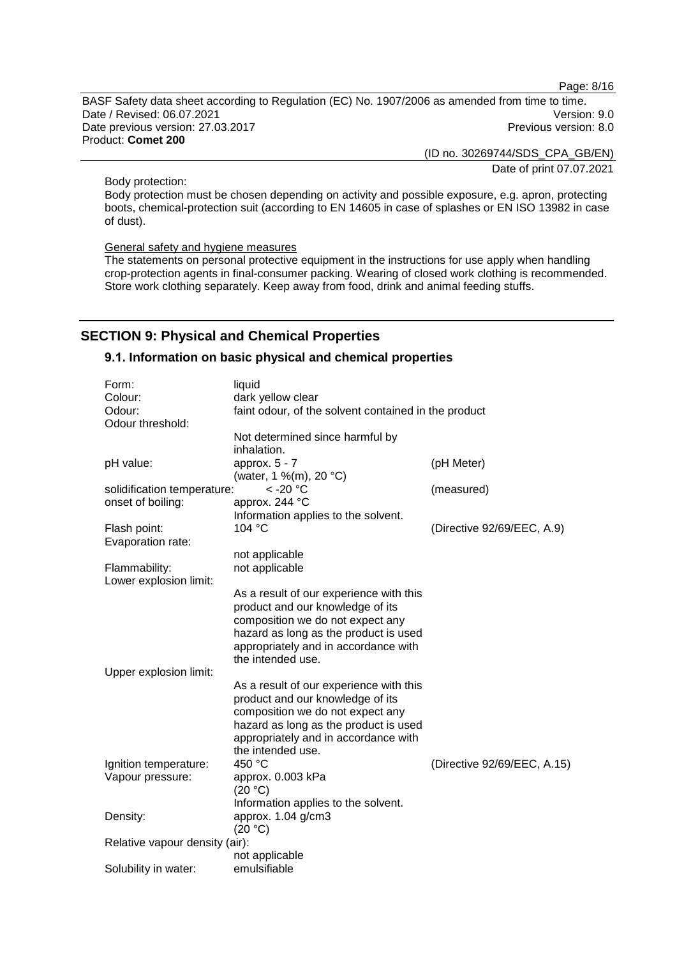Page: 8/16

BASF Safety data sheet according to Regulation (EC) No. 1907/2006 as amended from time to time. Date / Revised: 06.07.2021 Version: 9.0<br>Date previous version: 27.03.2017 Version: 9.0 Date previous version: 27.03.2017 Product: **Comet 200**

> (ID no. 30269744/SDS\_CPA\_GB/EN) Date of print 07.07.2021

Body protection:

Body protection must be chosen depending on activity and possible exposure, e.g. apron, protecting boots, chemical-protection suit (according to EN 14605 in case of splashes or EN ISO 13982 in case of dust).

General safety and hygiene measures

The statements on personal protective equipment in the instructions for use apply when handling crop-protection agents in final-consumer packing. Wearing of closed work clothing is recommended. Store work clothing separately. Keep away from food, drink and animal feeding stuffs.

# **SECTION 9: Physical and Chemical Properties**

#### **9.1. Information on basic physical and chemical properties**

| Form:                          | liquid                                               |                             |
|--------------------------------|------------------------------------------------------|-----------------------------|
| Colour:                        | dark yellow clear                                    |                             |
| Odour:                         | faint odour, of the solvent contained in the product |                             |
| Odour threshold:               |                                                      |                             |
|                                | Not determined since harmful by                      |                             |
|                                | inhalation.                                          |                             |
| pH value:                      | approx. 5 - 7                                        | (pH Meter)                  |
|                                | (water, 1 %(m), 20 °C)                               |                             |
| solidification temperature:    | $<$ -20 $^{\circ}$ C                                 | (measured)                  |
| onset of boiling:              | approx. 244 °C                                       |                             |
|                                | Information applies to the solvent.                  |                             |
| Flash point:                   | 104 °C                                               | (Directive 92/69/EEC, A.9)  |
| Evaporation rate:              |                                                      |                             |
|                                | not applicable                                       |                             |
| Flammability:                  | not applicable                                       |                             |
| Lower explosion limit:         |                                                      |                             |
|                                | As a result of our experience with this              |                             |
|                                | product and our knowledge of its                     |                             |
|                                | composition we do not expect any                     |                             |
|                                |                                                      |                             |
|                                | hazard as long as the product is used                |                             |
|                                | appropriately and in accordance with                 |                             |
|                                | the intended use.                                    |                             |
| Upper explosion limit:         |                                                      |                             |
|                                | As a result of our experience with this              |                             |
|                                | product and our knowledge of its                     |                             |
|                                | composition we do not expect any                     |                             |
|                                | hazard as long as the product is used                |                             |
|                                | appropriately and in accordance with                 |                             |
|                                | the intended use.                                    |                             |
| Ignition temperature:          | 450 °C                                               | (Directive 92/69/EEC, A.15) |
| Vapour pressure:               | approx. 0.003 kPa                                    |                             |
|                                | (20 °C)                                              |                             |
|                                | Information applies to the solvent.                  |                             |
| Density:                       | approx. $1.04$ g/cm3                                 |                             |
|                                | (20 °C)                                              |                             |
| Relative vapour density (air): |                                                      |                             |
|                                | not applicable                                       |                             |
| Solubility in water:           | emulsifiable                                         |                             |
|                                |                                                      |                             |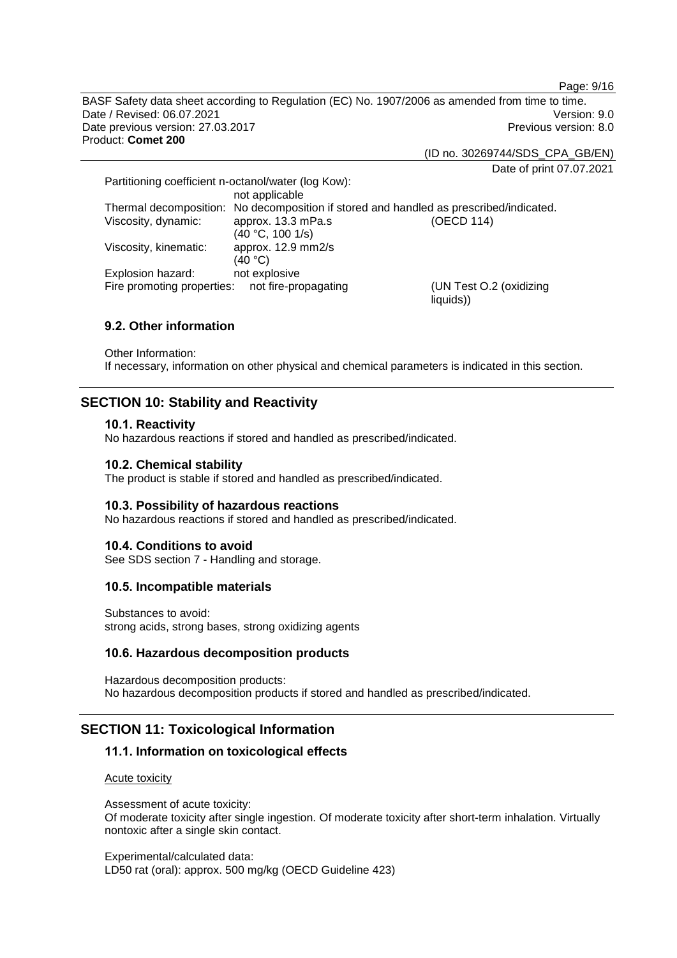BASF Safety data sheet according to Regulation (EC) No. 1907/2006 as amended from time to time. Date / Revised: 06.07.2021 Version: 9.0 Date previous version: 27.03.2017 **Previous version: 8.0** Previous version: 8.0 Product: **Comet 200**

(ID no. 30269744/SDS\_CPA\_GB/EN)

liquids))

Date of print 07.07.2021

Page: 9/16

Partitioning coefficient n-octanol/water (log Kow): not applicable Thermal decomposition: No decomposition if stored and handled as prescribed/indicated. Viscosity, dynamic: approx. 13.3 mPa.s (40 °C, 100 1/s)<br>approx. 12.9 mm2/s (OECD 114) Viscosity, kinematic: (40 °C)<br>not explosive Explosion hazard: Fire promoting properties: not fire-propagating (UN Test O.2 (oxidizing

# **9.2. Other information**

Other Information: If necessary, information on other physical and chemical parameters is indicated in this section.

# **SECTION 10: Stability and Reactivity**

#### **10.1. Reactivity**

No hazardous reactions if stored and handled as prescribed/indicated.

#### **10.2. Chemical stability**

The product is stable if stored and handled as prescribed/indicated.

# **10.3. Possibility of hazardous reactions**

No hazardous reactions if stored and handled as prescribed/indicated.

# **10.4. Conditions to avoid**

See SDS section 7 - Handling and storage.

# **10.5. Incompatible materials**

Substances to avoid: strong acids, strong bases, strong oxidizing agents

# **10.6. Hazardous decomposition products**

Hazardous decomposition products: No hazardous decomposition products if stored and handled as prescribed/indicated.

# **SECTION 11: Toxicological Information**

# **11.1. Information on toxicological effects**

Acute toxicity

Assessment of acute toxicity: Of moderate toxicity after single ingestion. Of moderate toxicity after short-term inhalation. Virtually nontoxic after a single skin contact.

Experimental/calculated data: LD50 rat (oral): approx. 500 mg/kg (OECD Guideline 423)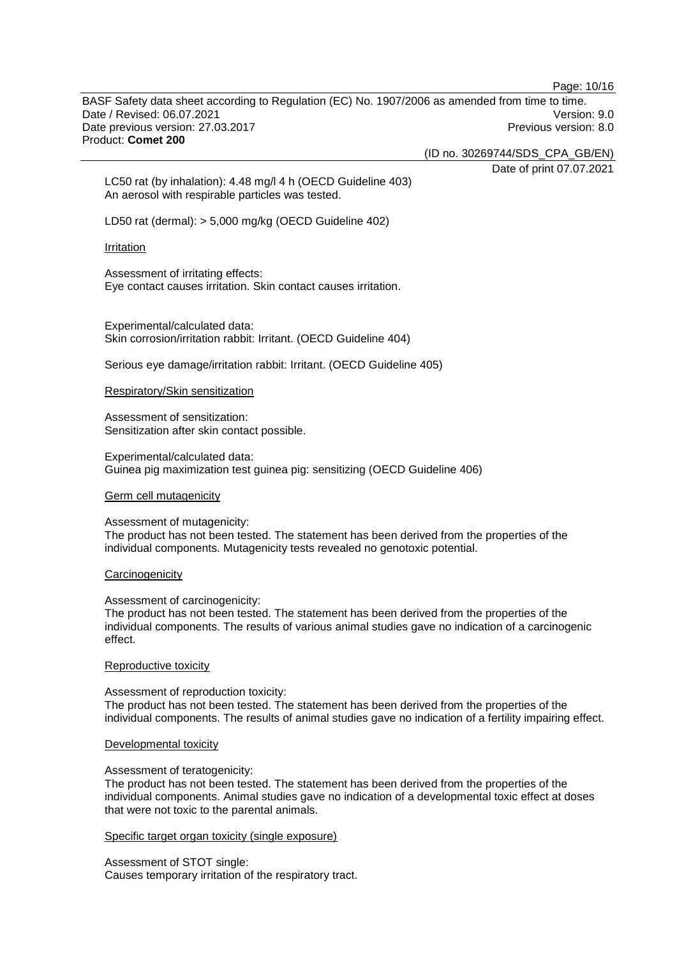Page: 10/16

BASF Safety data sheet according to Regulation (EC) No. 1907/2006 as amended from time to time. Date / Revised: 06.07.2021 Version: 9.0 Date previous version: 27.03.2017 **Previous version: 8.0** Previous version: 8.0 Product: **Comet 200**

(ID no. 30269744/SDS\_CPA\_GB/EN)

Date of print 07.07.2021

LC50 rat (by inhalation): 4.48 mg/l 4 h (OECD Guideline 403) An aerosol with respirable particles was tested.

LD50 rat (dermal): > 5,000 mg/kg (OECD Guideline 402)

#### Irritation

Assessment of irritating effects: Eye contact causes irritation. Skin contact causes irritation.

Experimental/calculated data: Skin corrosion/irritation rabbit: Irritant. (OECD Guideline 404)

Serious eye damage/irritation rabbit: Irritant. (OECD Guideline 405)

#### Respiratory/Skin sensitization

Assessment of sensitization: Sensitization after skin contact possible.

Experimental/calculated data: Guinea pig maximization test guinea pig: sensitizing (OECD Guideline 406)

#### Germ cell mutagenicity

Assessment of mutagenicity: The product has not been tested. The statement has been derived from the properties of the individual components. Mutagenicity tests revealed no genotoxic potential.

#### **Carcinogenicity**

Assessment of carcinogenicity:

The product has not been tested. The statement has been derived from the properties of the individual components. The results of various animal studies gave no indication of a carcinogenic effect.

#### Reproductive toxicity

Assessment of reproduction toxicity:

The product has not been tested. The statement has been derived from the properties of the individual components. The results of animal studies gave no indication of a fertility impairing effect.

#### Developmental toxicity

#### Assessment of teratogenicity:

The product has not been tested. The statement has been derived from the properties of the individual components. Animal studies gave no indication of a developmental toxic effect at doses that were not toxic to the parental animals.

#### Specific target organ toxicity (single exposure)

Assessment of STOT single: Causes temporary irritation of the respiratory tract.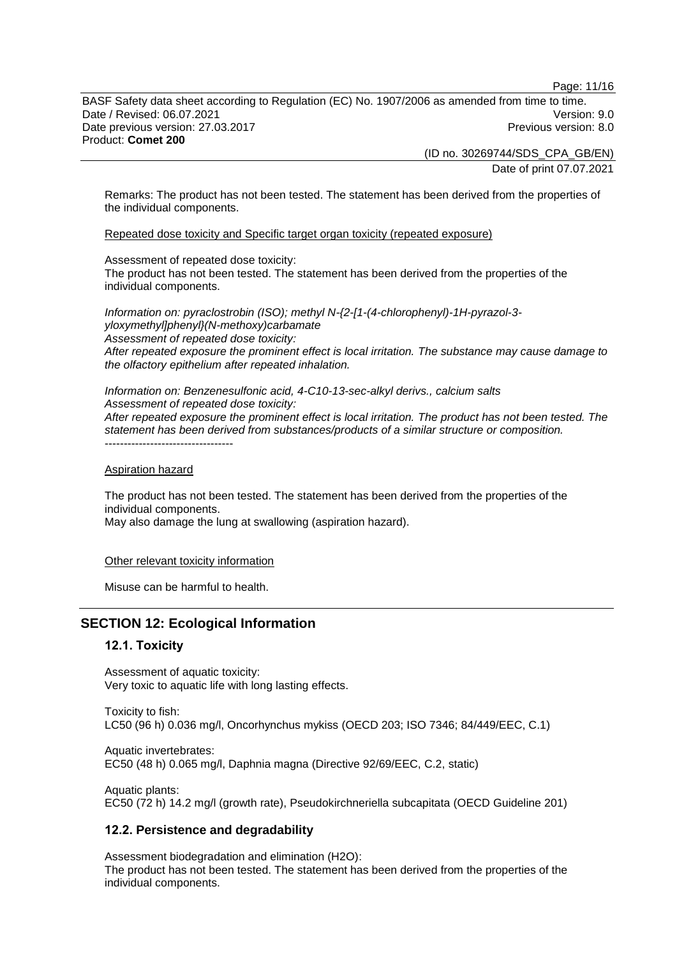Page: 11/16

BASF Safety data sheet according to Regulation (EC) No. 1907/2006 as amended from time to time. Date / Revised: 06.07.2021 Version: 9.0 Date previous version: 27.03.2017 **Previous version: 8.0** Previous version: 8.0 Product: **Comet 200**

> (ID no. 30269744/SDS\_CPA\_GB/EN) Date of print 07.07.2021

Remarks: The product has not been tested. The statement has been derived from the properties of the individual components.

Repeated dose toxicity and Specific target organ toxicity (repeated exposure)

Assessment of repeated dose toxicity:

The product has not been tested. The statement has been derived from the properties of the individual components.

*Information on: pyraclostrobin (ISO); methyl N-{2-[1-(4-chlorophenyl)-1H-pyrazol-3 yloxymethyl]phenyl}(N-methoxy)carbamate Assessment of repeated dose toxicity: After repeated exposure the prominent effect is local irritation. The substance may cause damage to the olfactory epithelium after repeated inhalation.*

*Information on: Benzenesulfonic acid, 4-C10-13-sec-alkyl derivs., calcium salts Assessment of repeated dose toxicity: After repeated exposure the prominent effect is local irritation. The product has not been tested. The statement has been derived from substances/products of a similar structure or composition.* ----------------------------------

#### Aspiration hazard

The product has not been tested. The statement has been derived from the properties of the individual components. May also damage the lung at swallowing (aspiration hazard).

Other relevant toxicity information

Misuse can be harmful to health.

# **SECTION 12: Ecological Information**

# **12.1. Toxicity**

Assessment of aquatic toxicity: Very toxic to aquatic life with long lasting effects.

Toxicity to fish: LC50 (96 h) 0.036 mg/l, Oncorhynchus mykiss (OECD 203; ISO 7346; 84/449/EEC, C.1)

Aquatic invertebrates: EC50 (48 h) 0.065 mg/l, Daphnia magna (Directive 92/69/EEC, C.2, static)

Aquatic plants: EC50 (72 h) 14.2 mg/l (growth rate), Pseudokirchneriella subcapitata (OECD Guideline 201)

# **12.2. Persistence and degradability**

Assessment biodegradation and elimination (H2O): The product has not been tested. The statement has been derived from the properties of the individual components.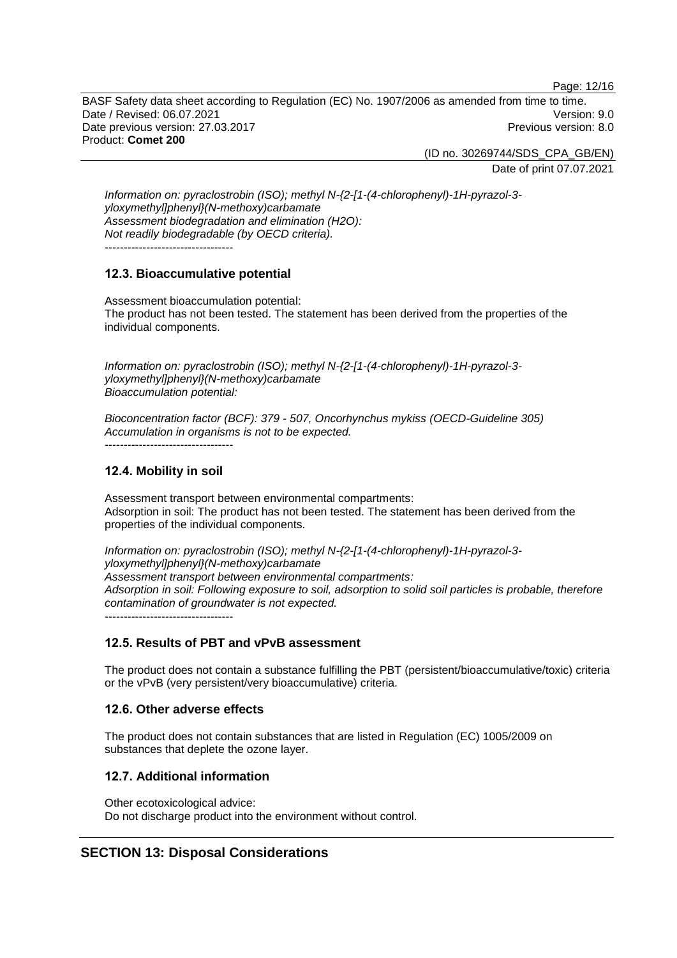Page: 12/16

BASF Safety data sheet according to Regulation (EC) No. 1907/2006 as amended from time to time. Date / Revised: 06.07.2021 Version: 9.0 Date previous version: 27.03.2017 **Previous version: 8.0** Previous version: 8.0 Product: **Comet 200**

(ID no. 30269744/SDS\_CPA\_GB/EN)

Date of print 07.07.2021

*Information on: pyraclostrobin (ISO); methyl N-{2-[1-(4-chlorophenyl)-1H-pyrazol-3 yloxymethyl]phenyl}(N-methoxy)carbamate Assessment biodegradation and elimination (H2O): Not readily biodegradable (by OECD criteria).* ----------------------------------

# **12.3. Bioaccumulative potential**

Assessment bioaccumulation potential: The product has not been tested. The statement has been derived from the properties of the individual components.

*Information on: pyraclostrobin (ISO); methyl N-{2-[1-(4-chlorophenyl)-1H-pyrazol-3 yloxymethyl]phenyl}(N-methoxy)carbamate Bioaccumulation potential:*

*Bioconcentration factor (BCF): 379 - 507, Oncorhynchus mykiss (OECD-Guideline 305) Accumulation in organisms is not to be expected.* ----------------------------------

# **12.4. Mobility in soil**

Assessment transport between environmental compartments: Adsorption in soil: The product has not been tested. The statement has been derived from the properties of the individual components.

*Information on: pyraclostrobin (ISO); methyl N-{2-[1-(4-chlorophenyl)-1H-pyrazol-3 yloxymethyl]phenyl}(N-methoxy)carbamate Assessment transport between environmental compartments: Adsorption in soil: Following exposure to soil, adsorption to solid soil particles is probable, therefore contamination of groundwater is not expected.* ----------------------------------

# **12.5. Results of PBT and vPvB assessment**

The product does not contain a substance fulfilling the PBT (persistent/bioaccumulative/toxic) criteria or the vPvB (very persistent/very bioaccumulative) criteria.

# **12.6. Other adverse effects**

The product does not contain substances that are listed in Regulation (EC) 1005/2009 on substances that deplete the ozone layer.

# **12.7. Additional information**

Other ecotoxicological advice: Do not discharge product into the environment without control.

# **SECTION 13: Disposal Considerations**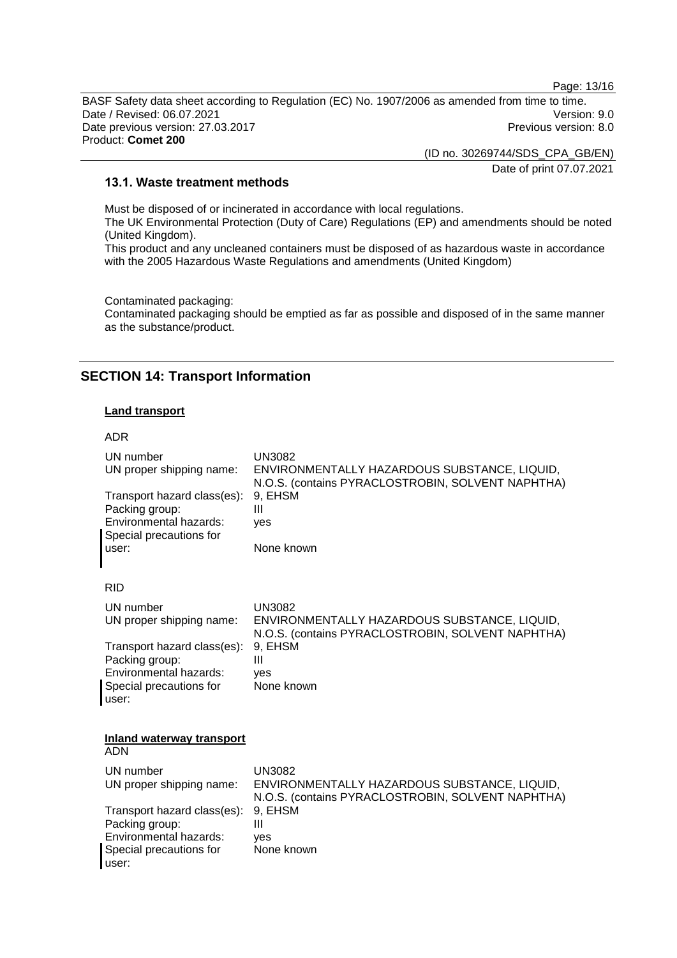Page: 13/16

BASF Safety data sheet according to Regulation (EC) No. 1907/2006 as amended from time to time. Date / Revised: 06.07.2021 Version: 9.0 Date previous version: 27.03.2017 **Previous version: 8.0** Previous version: 8.0 Product: **Comet 200**

(ID no. 30269744/SDS\_CPA\_GB/EN)

Date of print 07.07.2021

# **13.1. Waste treatment methods**

Must be disposed of or incinerated in accordance with local regulations. The UK Environmental Protection (Duty of Care) Regulations (EP) and amendments should be noted (United Kingdom). This product and any uncleaned containers must be disposed of as hazardous waste in accordance with the 2005 Hazardous Waste Regulations and amendments (United Kingdom)

Contaminated packaging: Contaminated packaging should be emptied as far as possible and disposed of in the same manner as the substance/product.

# **SECTION 14: Transport Information**

#### **Land transport**

ADR UN number UN3082<br>UN proper shipping name: ENVIRO ENVIRONMENTALLY HAZARDOUS SUBSTANCE, LIQUID, N.O.S. (contains PYRACLOSTROBIN, SOLVENT NAPHTHA) Transport hazard class(es): 9, EHSM Packing group: III Environmental hazards: yes Special precautions for user: None known RID UN number UN3082 UN proper shipping name: ENVIRONMENTALLY HAZARDOUS SUBSTANCE, LIQUID, N.O.S. (contains PYRACLOSTROBIN, SOLVENT NAPHTHA) Transport hazard class(es): Packing group: III Environmental hazards: yes Special precautions for user: None known **Inland waterway transport** ADN UN number UN3082 UN proper shipping name: ENVIRONMENTALLY HAZARDOUS SUBSTANCE, LIQUID, N.O.S. (contains PYRACLOSTROBIN, SOLVENT NAPHTHA) Transport hazard class(es): 9, EHSM Packing group: III Environmental hazards: yes Special precautions for user: None known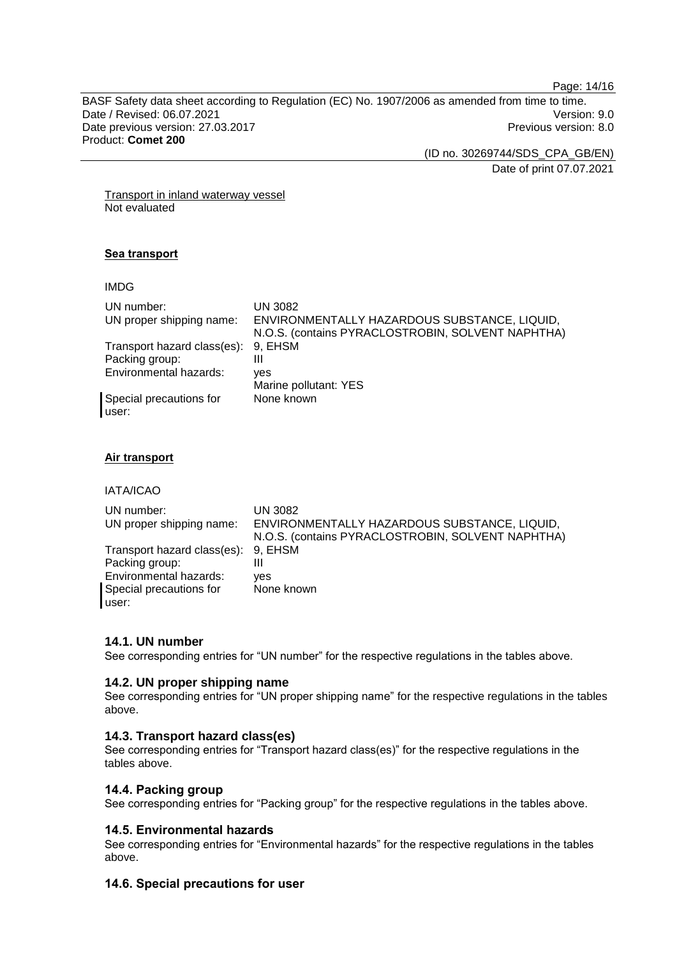Page: 14/16

BASF Safety data sheet according to Regulation (EC) No. 1907/2006 as amended from time to time. Date / Revised: 06.07.2021 Version: 9.0<br>Date previous version: 27.03.2017 Version: 9.0 Date previous version: 27.03.2017 Product: **Comet 200**

(ID no. 30269744/SDS\_CPA\_GB/EN)

Date of print 07.07.2021

Transport in inland waterway vessel Not evaluated

# **Sea transport**

IMDG

| UN number:<br>UN proper shipping name: | UN 3082<br>ENVIRONMENTALLY HAZARDOUS SUBSTANCE, LIQUID,<br>N.O.S. (contains PYRACLOSTROBIN, SOLVENT NAPHTHA) |
|----------------------------------------|--------------------------------------------------------------------------------------------------------------|
| Transport hazard class(es):            | 9, EHSM                                                                                                      |
| Packing group:                         | Ш                                                                                                            |
| <b>Environmental hazards:</b>          | ves                                                                                                          |
|                                        | Marine pollutant: YES                                                                                        |
| Special precautions for<br>user:       | None known                                                                                                   |

# **Air transport**

IATA/ICAO

| UN number:<br>UN proper shipping name: | UN 3082<br>ENVIRONMENTALLY HAZARDOUS SUBSTANCE, LIQUID,<br>N.O.S. (contains PYRACLOSTROBIN, SOLVENT NAPHTHA) |
|----------------------------------------|--------------------------------------------------------------------------------------------------------------|
| Transport hazard class(es): 9, EHSM    |                                                                                                              |
| Packing group:                         | Ш                                                                                                            |
| Environmental hazards:                 | ves                                                                                                          |
| Special precautions for                | None known                                                                                                   |
| user:                                  |                                                                                                              |

# **14.1. UN number**

See corresponding entries for "UN number" for the respective regulations in the tables above.

# **14.2. UN proper shipping name**

See corresponding entries for "UN proper shipping name" for the respective regulations in the tables above.

# **14.3. Transport hazard class(es)**

See corresponding entries for "Transport hazard class(es)" for the respective regulations in the tables above.

# **14.4. Packing group**

See corresponding entries for "Packing group" for the respective regulations in the tables above.

# **14.5. Environmental hazards**

See corresponding entries for "Environmental hazards" for the respective regulations in the tables above.

# **14.6. Special precautions for user**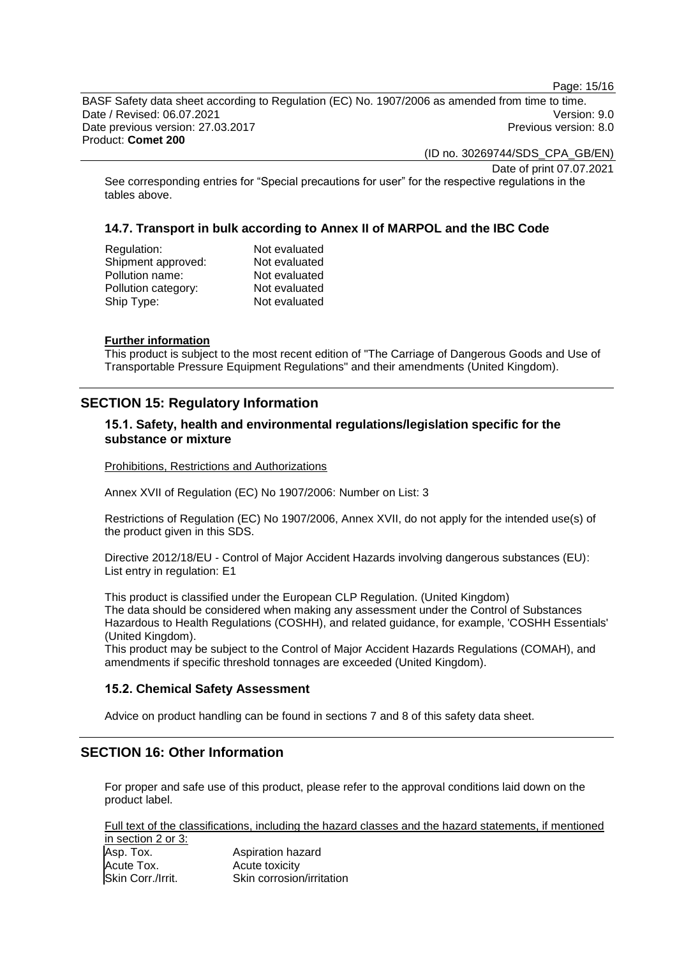Page: 15/16

BASF Safety data sheet according to Regulation (EC) No. 1907/2006 as amended from time to time. Date / Revised: 06.07.2021 Version: 9.0 Date previous version: 27.03.2017 **Previous version: 8.0** Previous version: 8.0 Product: **Comet 200**

(ID no. 30269744/SDS\_CPA\_GB/EN)

Date of print 07.07.2021

See corresponding entries for "Special precautions for user" for the respective regulations in the tables above.

# **14.7. Transport in bulk according to Annex II of MARPOL and the IBC Code**

| Regulation:         | Not evaluated |
|---------------------|---------------|
| Shipment approved:  | Not evaluated |
| Pollution name:     | Not evaluated |
| Pollution category: | Not evaluated |
| Ship Type:          | Not evaluated |
|                     |               |

#### **Further information**

This product is subject to the most recent edition of "The Carriage of Dangerous Goods and Use of Transportable Pressure Equipment Regulations" and their amendments (United Kingdom).

# **SECTION 15: Regulatory Information**

# **15.1. Safety, health and environmental regulations/legislation specific for the substance or mixture**

Prohibitions, Restrictions and Authorizations

Annex XVII of Regulation (EC) No 1907/2006: Number on List: 3

Restrictions of Regulation (EC) No 1907/2006, Annex XVII, do not apply for the intended use(s) of the product given in this SDS.

Directive 2012/18/EU - Control of Major Accident Hazards involving dangerous substances (EU): List entry in regulation: E1

This product is classified under the European CLP Regulation. (United Kingdom) The data should be considered when making any assessment under the Control of Substances Hazardous to Health Regulations (COSHH), and related guidance, for example, 'COSHH Essentials' (United Kingdom).

This product may be subject to the Control of Major Accident Hazards Regulations (COMAH), and amendments if specific threshold tonnages are exceeded (United Kingdom).

# **15.2. Chemical Safety Assessment**

Advice on product handling can be found in sections 7 and 8 of this safety data sheet.

# **SECTION 16: Other Information**

For proper and safe use of this product, please refer to the approval conditions laid down on the product label.

Full text of the classifications, including the hazard classes and the hazard statements, if mentioned in section 2 or 3:

| Asp. Tox.         | Aspiration hazard         |
|-------------------|---------------------------|
| Acute Tox.        | Acute toxicity            |
| Skin Corr./Irrit. | Skin corrosion/irritation |